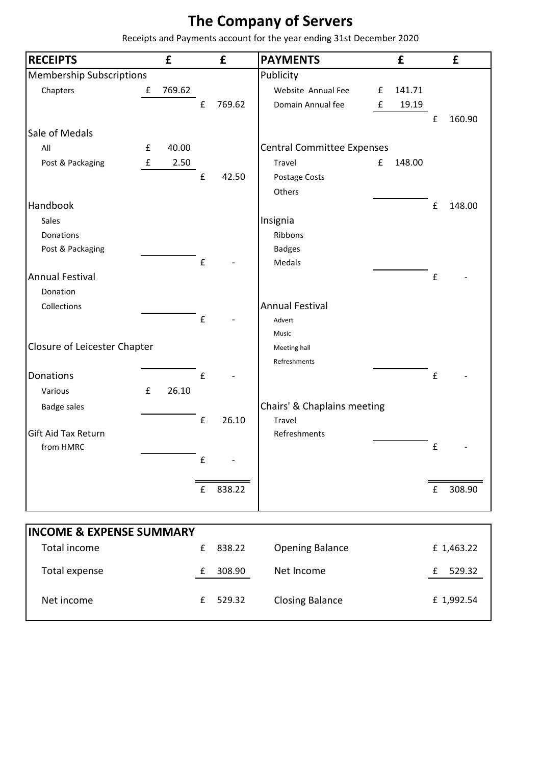## **The Company of Servers**

Receipts and Payments account for the year ending 31st December 2020

| <b>RECEIPTS</b>                     |                    | £      |                    | £      | <b>PAYMENTS</b>                       |   | £      |   | £          |
|-------------------------------------|--------------------|--------|--------------------|--------|---------------------------------------|---|--------|---|------------|
| <b>Membership Subscriptions</b>     |                    |        |                    |        | Publicity                             |   |        |   |            |
| Chapters                            | £                  | 769.62 |                    |        | Website Annual Fee                    | £ | 141.71 |   |            |
|                                     |                    |        | $\pmb{\mathsf{f}}$ | 769.62 | Domain Annual fee                     | £ | 19.19  |   |            |
|                                     |                    |        |                    |        |                                       |   |        | £ | 160.90     |
| Sale of Medals                      |                    |        |                    |        |                                       |   |        |   |            |
| All                                 | £                  | 40.00  |                    |        | <b>Central Committee Expenses</b>     |   |        |   |            |
| Post & Packaging                    | $\mathbf f$        | 2.50   |                    |        | Travel                                | £ | 148.00 |   |            |
|                                     |                    |        | £                  | 42.50  | Postage Costs                         |   |        |   |            |
|                                     |                    |        |                    |        | Others                                |   |        |   |            |
| Handbook                            |                    |        |                    |        |                                       |   |        | £ | 148.00     |
| Sales                               |                    |        |                    |        | Insignia                              |   |        |   |            |
| Donations                           |                    |        |                    |        | Ribbons                               |   |        |   |            |
| Post & Packaging                    |                    |        |                    |        | <b>Badges</b>                         |   |        |   |            |
|                                     |                    |        | $\pmb{\mathsf{f}}$ |        | <b>Medals</b>                         |   |        |   |            |
| <b>Annual Festival</b>              |                    |        |                    |        |                                       |   |        | £ |            |
| Donation                            |                    |        |                    |        |                                       |   |        |   |            |
| Collections                         |                    |        |                    |        | <b>Annual Festival</b>                |   |        |   |            |
|                                     |                    |        | £                  |        | Advert                                |   |        |   |            |
| Closure of Leicester Chapter        |                    |        |                    |        | Music<br>Meeting hall                 |   |        |   |            |
|                                     |                    |        |                    |        | Refreshments                          |   |        |   |            |
| Donations                           |                    |        | £                  |        |                                       |   |        | £ |            |
| Various                             | $\pmb{\mathsf{f}}$ | 26.10  |                    |        |                                       |   |        |   |            |
|                                     |                    |        |                    |        |                                       |   |        |   |            |
| <b>Badge sales</b>                  |                    |        | $\pmb{\mathsf{f}}$ | 26.10  | Chairs' & Chaplains meeting<br>Travel |   |        |   |            |
| <b>Gift Aid Tax Return</b>          |                    |        |                    |        | Refreshments                          |   |        |   |            |
| from HMRC                           |                    |        |                    |        |                                       |   |        | £ |            |
|                                     |                    |        | $\mathbf f$        |        |                                       |   |        |   |            |
|                                     |                    |        |                    |        |                                       |   |        |   |            |
|                                     |                    |        | $\pmb{\mathsf{f}}$ | 838.22 |                                       |   |        | £ | 308.90     |
|                                     |                    |        |                    |        |                                       |   |        |   |            |
|                                     |                    |        |                    |        |                                       |   |        |   |            |
| <b>INCOME &amp; EXPENSE SUMMARY</b> |                    |        |                    |        |                                       |   |        |   |            |
| <b>Total income</b>                 |                    |        | $\pmb{\mathsf{f}}$ | 838.22 | <b>Opening Balance</b>                |   |        |   | £1,463.22  |
|                                     |                    |        |                    |        |                                       |   |        |   |            |
| Total expense                       |                    |        | $\pmb{\mathsf{f}}$ | 308.90 | Net Income                            |   |        | £ | 529.32     |
|                                     |                    |        |                    |        |                                       |   |        |   |            |
| Net income                          |                    |        | $\pmb{\mathsf{f}}$ | 529.32 | <b>Closing Balance</b>                |   |        |   | £ 1,992.54 |